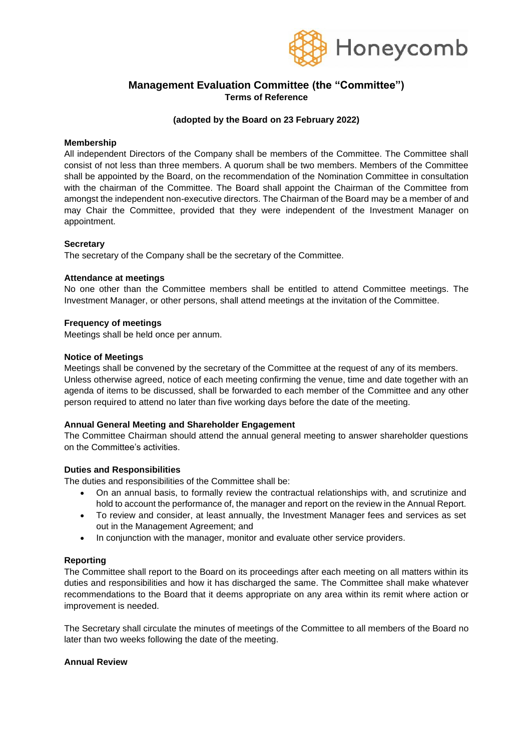

# **Management Evaluation Committee (the "Committee") Terms of Reference**

## **(adopted by the Board on 23 February 2022)**

#### **Membership**

All independent Directors of the Company shall be members of the Committee. The Committee shall consist of not less than three members. A quorum shall be two members. Members of the Committee shall be appointed by the Board, on the recommendation of the Nomination Committee in consultation with the chairman of the Committee. The Board shall appoint the Chairman of the Committee from amongst the independent non-executive directors. The Chairman of the Board may be a member of and may Chair the Committee, provided that they were independent of the Investment Manager on appointment.

### **Secretary**

The secretary of the Company shall be the secretary of the Committee.

### **Attendance at meetings**

No one other than the Committee members shall be entitled to attend Committee meetings. The Investment Manager, or other persons, shall attend meetings at the invitation of the Committee.

### **Frequency of meetings**

Meetings shall be held once per annum.

### **Notice of Meetings**

Meetings shall be convened by the secretary of the Committee at the request of any of its members. Unless otherwise agreed, notice of each meeting confirming the venue, time and date together with an agenda of items to be discussed, shall be forwarded to each member of the Committee and any other person required to attend no later than five working days before the date of the meeting.

## **Annual General Meeting and Shareholder Engagement**

The Committee Chairman should attend the annual general meeting to answer shareholder questions on the Committee's activities.

#### **Duties and Responsibilities**

The duties and responsibilities of the Committee shall be:

- On an annual basis, to formally review the contractual relationships with, and scrutinize and hold to account the performance of, the manager and report on the review in the Annual Report.
- To review and consider, at least annually, the Investment Manager fees and services as set out in the Management Agreement; and
- In conjunction with the manager, monitor and evaluate other service providers.

#### **Reporting**

The Committee shall report to the Board on its proceedings after each meeting on all matters within its duties and responsibilities and how it has discharged the same. The Committee shall make whatever recommendations to the Board that it deems appropriate on any area within its remit where action or improvement is needed.

The Secretary shall circulate the minutes of meetings of the Committee to all members of the Board no later than two weeks following the date of the meeting.

### **Annual Review**